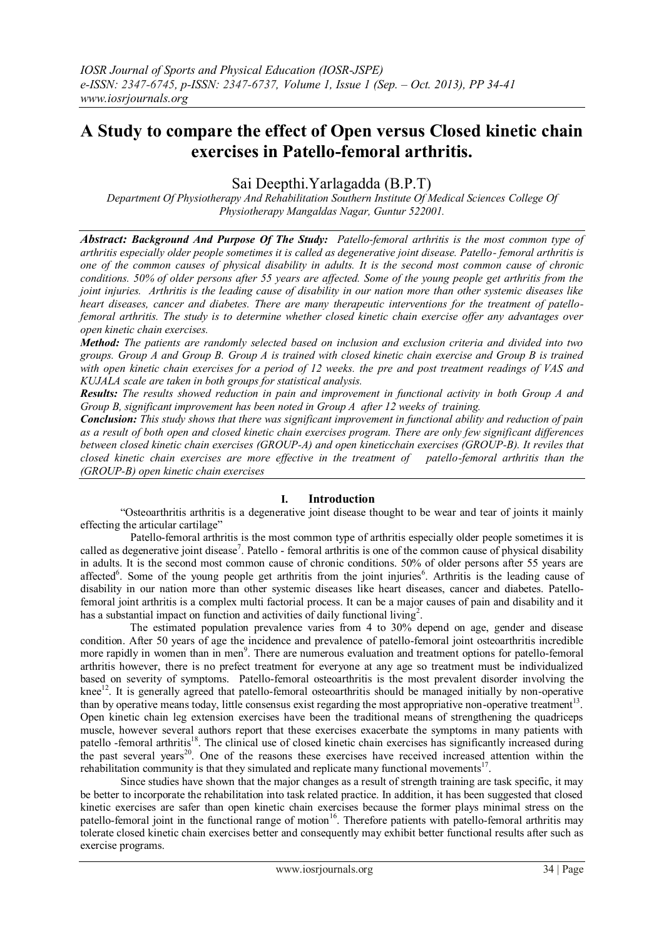# **A Study to compare the effect of Open versus Closed kinetic chain exercises in Patello-femoral arthritis.**

Sai Deepthi.Yarlagadda (B.P.T)

*Department Of Physiotherapy And Rehabilitation Southern Institute Of Medical Sciences College Of Physiotherapy Mangaldas Nagar, Guntur 522001.*

*Abstract: Background And Purpose Of The Study: Patello-femoral arthritis is the most common type of arthritis especially older people sometimes it is called as degenerative joint disease. Patello- femoral arthritis is one of the common causes of physical disability in adults. It is the second most common cause of chronic conditions. 50% of older persons after 55 years are affected. Some of the young people get arthritis from the joint injuries. Arthritis is the leading cause of disability in our nation more than other systemic diseases like heart diseases, cancer and diabetes. There are many therapeutic interventions for the treatment of patellofemoral arthritis. The study is to determine whether closed kinetic chain exercise offer any advantages over open kinetic chain exercises.*

*Method: The patients are randomly selected based on inclusion and exclusion criteria and divided into two groups. Group A and Group B. Group A is trained with closed kinetic chain exercise and Group B is trained with open kinetic chain exercises for a period of 12 weeks. the pre and post treatment readings of VAS and KUJALA scale are taken in both groups for statistical analysis.* 

*Results: The results showed reduction in pain and improvement in functional activity in both Group A and Group B, significant improvement has been noted in Group A after 12 weeks of training.* 

*Conclusion: This study shows that there was significant improvement in functional ability and reduction of pain as a result of both open and closed kinetic chain exercises program. There are only few significant differences between closed kinetic chain exercises (GROUP-A) and open kineticchain exercises (GROUP-B). It reviles that closed kinetic chain exercises are more effective in the treatment of patello-femoral arthritis than the (GROUP-B) open kinetic chain exercises*

# **I. Introduction**

"Osteoarthritis arthritis is a degenerative joint disease thought to be wear and tear of joints it mainly effecting the articular cartilage"

 Patello-femoral arthritis is the most common type of arthritis especially older people sometimes it is called as degenerative joint disease<sup>7</sup>. Patello - femoral arthritis is one of the common cause of physical disability in adults. It is the second most common cause of chronic conditions. 50% of older persons after 55 years are affected<sup>6</sup>. Some of the young people get arthritis from the joint injuries<sup>6</sup>. Arthritis is the leading cause of disability in our nation more than other systemic diseases like heart diseases, cancer and diabetes. Patellofemoral joint arthritis is a complex multi factorial process. It can be a major causes of pain and disability and it has a substantial impact on function and activities of daily functional living<sup>2</sup>.

 The estimated population prevalence varies from 4 to 30% depend on age, gender and disease condition. After 50 years of age the incidence and prevalence of patello-femoral joint osteoarthritis incredible more rapidly in women than in men<sup>9</sup>. There are numerous evaluation and treatment options for patello-femoral arthritis however, there is no prefect treatment for everyone at any age so treatment must be individualized based on severity of symptoms. Patello-femoral osteoarthritis is the most prevalent disorder involving the knee<sup>12</sup>. It is generally agreed that patello-femoral osteoarthritis should be managed initially by non-operative than by operative means today, little consensus exist regarding the most appropriative non-operative treatment<sup>13</sup>. Open kinetic chain leg extension exercises have been the traditional means of strengthening the quadriceps muscle, however several authors report that these exercises exacerbate the symptoms in many patients with patello -femoral arthritis<sup>18</sup>. The clinical use of closed kinetic chain exercises has significantly increased during patch of the past several years<sup>20</sup>. One of the reasons these exercises have received increased attention within the rehabilitation community is that they simulated and replicate many functional movements $17$ .

 Since studies have shown that the major changes as a result of strength training are task specific, it may be better to incorporate the rehabilitation into task related practice. In addition, it has been suggested that closed kinetic exercises are safer than open kinetic chain exercises because the former plays minimal stress on the patello-femoral joint in the functional range of motion<sup>16</sup>. Therefore patients with patello-femoral arthritis may tolerate closed kinetic chain exercises better and consequently may exhibit better functional results after such as exercise programs.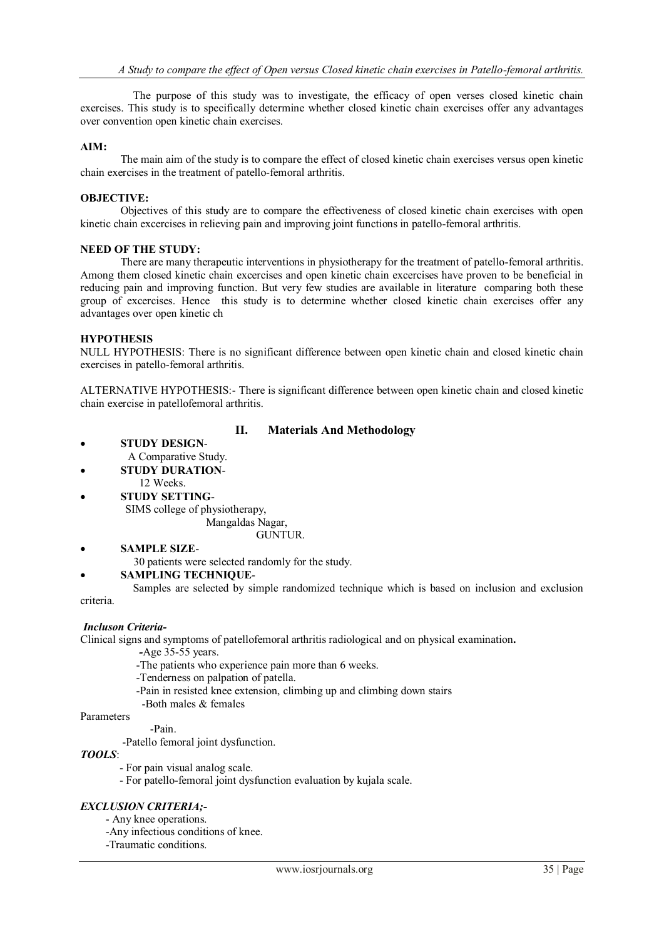The purpose of this study was to investigate, the efficacy of open verses closed kinetic chain exercises. This study is to specifically determine whether closed kinetic chain exercises offer any advantages over convention open kinetic chain exercises.

## **AIM:**

The main aim of the study is to compare the effect of closed kinetic chain exercises versus open kinetic chain exercises in the treatment of patello-femoral arthritis.

## **OBJECTIVE:**

Objectives of this study are to compare the effectiveness of closed kinetic chain exercises with open kinetic chain excercises in relieving pain and improving joint functions in patello-femoral arthritis.

#### **NEED OF THE STUDY:**

There are many therapeutic interventions in physiotherapy for the treatment of patello-femoral arthritis. Among them closed kinetic chain excercises and open kinetic chain excercises have proven to be beneficial in reducing pain and improving function. But very few studies are available in literature comparing both these group of excercises. Hence this study is to determine whether closed kinetic chain exercises offer any advantages over open kinetic ch

#### **HYPOTHESIS**

NULL HYPOTHESIS: There is no significant difference between open kinetic chain and closed kinetic chain exercises in patello-femoral arthritis.

ALTERNATIVE HYPOTHESIS:- There is significant difference between open kinetic chain and closed kinetic chain exercise in patellofemoral arthritis.

## **II. Materials And Methodology**

- **STUDY DESIGN** A Comparative Study.
- **STUDY DURATION**-
- 12 Weeks.
	- **STUDY SETTING** SIMS college of physiotherapy, Mangaldas Nagar,

GUNTUR.

- **SAMPLE SIZE**
	- 30 patients were selected randomly for the study.

## **SAMPLING TECHNIQUE**-

 Samples are selected by simple randomized technique which is based on inclusion and exclusion criteria.

#### *Incluson Criteria-*

Clinical signs and symptoms of patellofemoral arthritis radiological and on physical examination**.**

- *-*Age 35-55 years.
- -The patients who experience pain more than 6 weeks.
- -Tenderness on palpation of patella.
- -Pain in resisted knee extension, climbing up and climbing down stairs
- -Both males & females

Parameters

 -Pain. -Patello femoral joint dysfunction.

## *TOOLS*:

- For pain visual analog scale.
- For patello-femoral joint dysfunction evaluation by kujala scale.

## *EXCLUSION CRITERIA;-*

- Any knee operations.
- -Any infectious conditions of knee.
- -Traumatic conditions.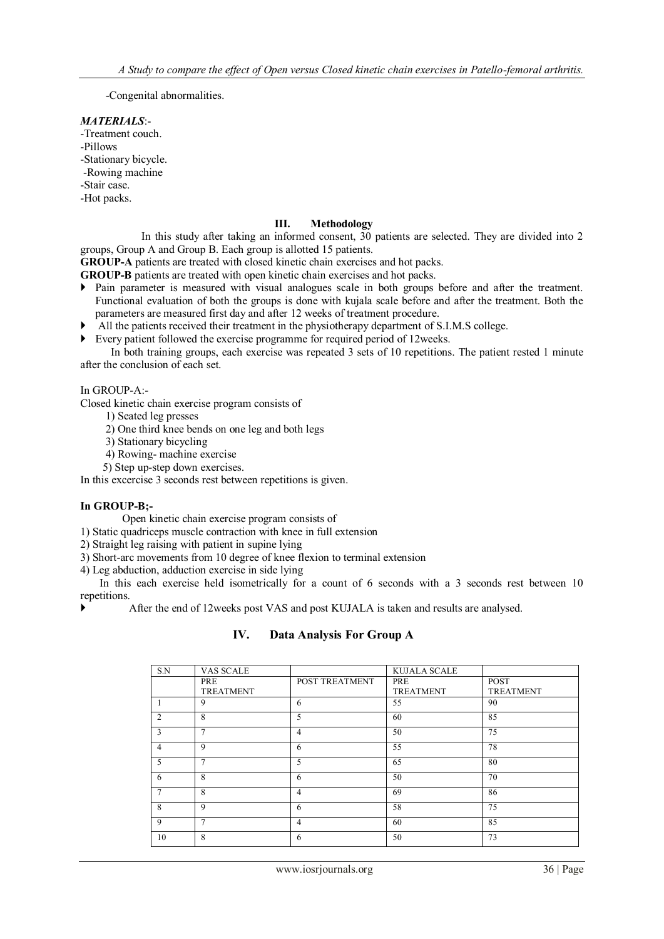-Congenital abnormalities.

## *MATERIALS*:-

-Treatment couch.

- -Pillows
- -Stationary bicycle.
- -Rowing machine
- -Stair case.
- -Hot packs.

# **III. Methodology**

 In this study after taking an informed consent, 30 patients are selected. They are divided into 2 groups, Group A and Group B. Each group is allotted 15 patients.

**GROUP-A** patients are treated with closed kinetic chain exercises and hot packs.

**GROUP-B** patients are treated with open kinetic chain exercises and hot packs.

- Pain parameter is measured with visual analogues scale in both groups before and after the treatment. Functional evaluation of both the groups is done with kujala scale before and after the treatment. Both the parameters are measured first day and after 12 weeks of treatment procedure.
- All the patients received their treatment in the physiotherapy department of S.I.M.S college.
- Every patient followed the exercise programme for required period of 12weeks.

In both training groups, each exercise was repeated 3 sets of 10 repetitions. The patient rested 1 minute after the conclusion of each set.

## In GROUP-A:-

Closed kinetic chain exercise program consists of

- 1) Seated leg presses
- 2) One third knee bends on one leg and both legs
- 3) Stationary bicycling
- 4) Rowing- machine exercise
- 5) Step up-step down exercises.

In this excercise 3 seconds rest between repetitions is given.

# **In GROUP-B;-**

Open kinetic chain exercise program consists of

1) Static quadriceps muscle contraction with knee in full extension

2) Straight leg raising with patient in supine lying

3) Short-arc movements from 10 degree of knee flexion to terminal extension

4) Leg abduction, adduction exercise in side lying

In this each exercise held isometrically for a count of 6 seconds with a 3 seconds rest between 10 repetitions.

After the end of 12weeks post VAS and post KUJALA is taken and results are analysed.

# **IV. Data Analysis For Group A**

| S.N            | VAS SCALE        |                | <b>KUJALA SCALE</b> |                  |
|----------------|------------------|----------------|---------------------|------------------|
|                | PRE              | POST TREATMENT | PRE                 | <b>POST</b>      |
|                | <b>TREATMENT</b> |                | <b>TREATMENT</b>    | <b>TREATMENT</b> |
| 1              | 9                | 6              | 55                  | 90               |
| 2              | 8                | 5              | 60                  | 85               |
| 3              | $\overline{ }$   | $\overline{4}$ | 50                  | 75               |
| $\overline{4}$ | 9                | 6              | 55                  | 78               |
| 5              | $\overline{ }$   | 5              | 65                  | 80               |
| 6              | 8                | 6              | 50                  | 70               |
| 7              | 8                | $\overline{4}$ | 69                  | 86               |
| 8              | $\mathbf Q$      | 6              | 58                  | 75               |
| 9              | $\overline{ }$   | $\overline{4}$ | 60                  | 85               |
| 10             | 8                | 6              | 50                  | 73               |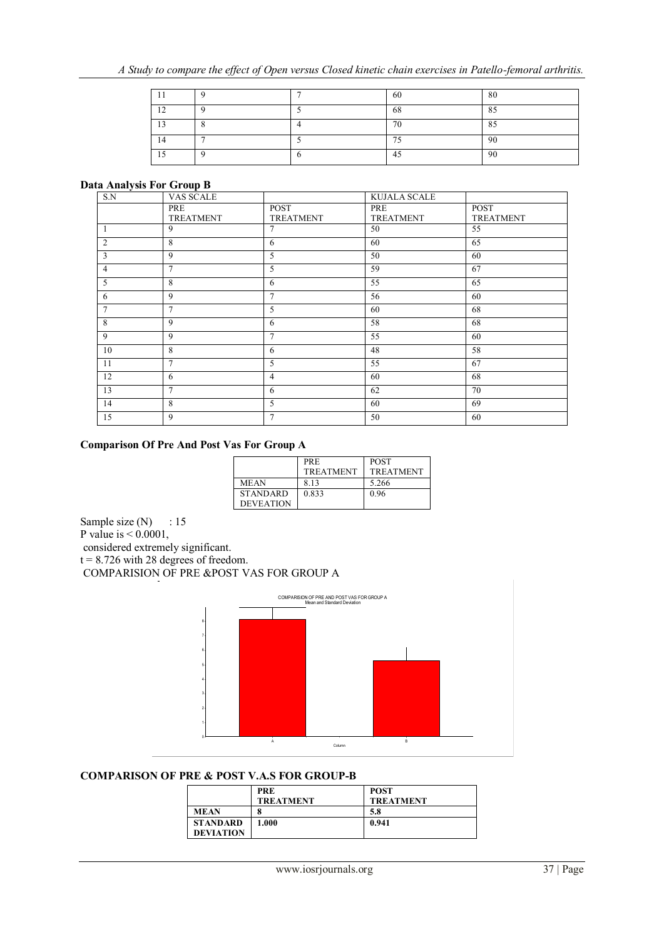|                |  | 60 | 80                     |
|----------------|--|----|------------------------|
| 1 <sub>2</sub> |  | 68 | $\Omega$ $\sim$<br>OJ. |
| $\sim$         |  | 70 | $O \subset$<br>OJ.     |
|                |  | 75 | 90                     |
|                |  | 45 | 90                     |

#### **Data Analysis For Group B**

| S.N             | <b>VAS SCALE</b>        |                                 | <b>KUJALA SCALE</b>     |                                 |
|-----------------|-------------------------|---------------------------------|-------------------------|---------------------------------|
|                 | PRE<br><b>TREATMENT</b> | <b>POST</b><br><b>TREATMENT</b> | PRE<br><b>TREATMENT</b> | <b>POST</b><br><b>TREATMENT</b> |
| 1               | 9                       | 7                               | 50                      | 55                              |
| 2               | 8                       | 6                               | 60                      | 65                              |
| 3               | 9                       | 5                               | 50                      | 60                              |
| $\overline{4}$  | 7                       | 5                               | 59                      | 67                              |
| 5               | 8                       | 6                               | 55                      | 65                              |
| 6               | 9                       | $\tau$                          | 56                      | 60                              |
| $7\phantom{.0}$ | $\overline{7}$          | 5                               | 60                      | 68                              |
| 8               | 9                       | 6                               | 58                      | 68                              |
| 9               | 9                       | 7                               | 55                      | 60                              |
| 10              | 8                       | 6                               | 48                      | 58                              |
| 11              | 7                       | 5                               | 55                      | 67                              |
| 12              | 6                       | $\overline{4}$                  | 60                      | 68                              |
| 13              | $\overline{7}$          | 6                               | 62                      | 70                              |
| 14              | 8                       | 5                               | 60                      | 69                              |
| 15              | 9                       | 7                               | 50                      | 60                              |

## **Comparison Of Pre And Post Vas For Group A**

|                  | PRE              | <b>POST</b>      |
|------------------|------------------|------------------|
|                  | <b>TREATMENT</b> | <b>TREATMENT</b> |
| <b>MEAN</b>      | 813              | 5.266            |
| <b>STANDARD</b>  | 0.833            | 0.96             |
| <b>DEVEATION</b> |                  |                  |

Sample size  $(N)$  : 15 P value is  $< 0.0001$ , considered extremely significant.  $t = 8.726$  with 28 degrees of freedom.

COMPARISION OF PRE &POST VAS FOR GROUP A



# **COMPARISON OF PRE & POST V.A.S FOR GROUP-B**

|                  | <b>PRE</b><br><b>TREATMENT</b> | <b>POST</b><br><b>TREATMENT</b> |
|------------------|--------------------------------|---------------------------------|
| <b>MEAN</b>      | 8                              | 5.8                             |
| <b>STANDARD</b>  | 1.000                          | 0.941                           |
| <b>DEVIATION</b> |                                |                                 |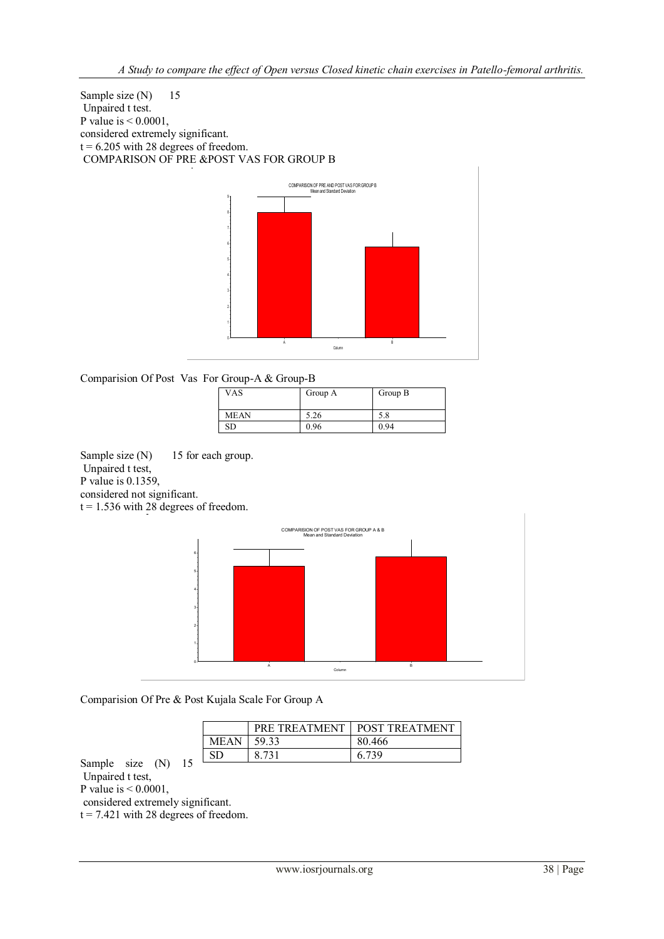Sample size (N) 15 Unpaired t test. P value is  $< 0.0001$ , considered extremely significant.  $t = 6.205$  with 28 degrees of freedom. COMPARISON OF PRE &POST VAS FOR GROUP B



# Comparision Of Post Vas For Group-A & Group-B

| <b>VAS</b>  | Group A | Group B |
|-------------|---------|---------|
|             |         |         |
| <b>MEAN</b> | 5.26    | 5.8     |
| SD          | 0.96    | 0.94    |

Sample size (N) 15 for each group. Unpaired t test, P value is 0.1359,

considered not significant.

 $t = 1.536$  with 28 degrees of freedom.



Comparision Of Pre & Post Kujala Scale For Group A

|             | PRE TREATMENT | <b>POST TREATMENT</b> |
|-------------|---------------|-----------------------|
| <b>MEAN</b> | 59.33         | 80.466                |
|             | 8 7 3 1       | 6 739                 |

Sample size (N) 15 Unpaired t test, P value is < 0.0001, considered extremely significant.  $t = 7.421$  with 28 degrees of freedom.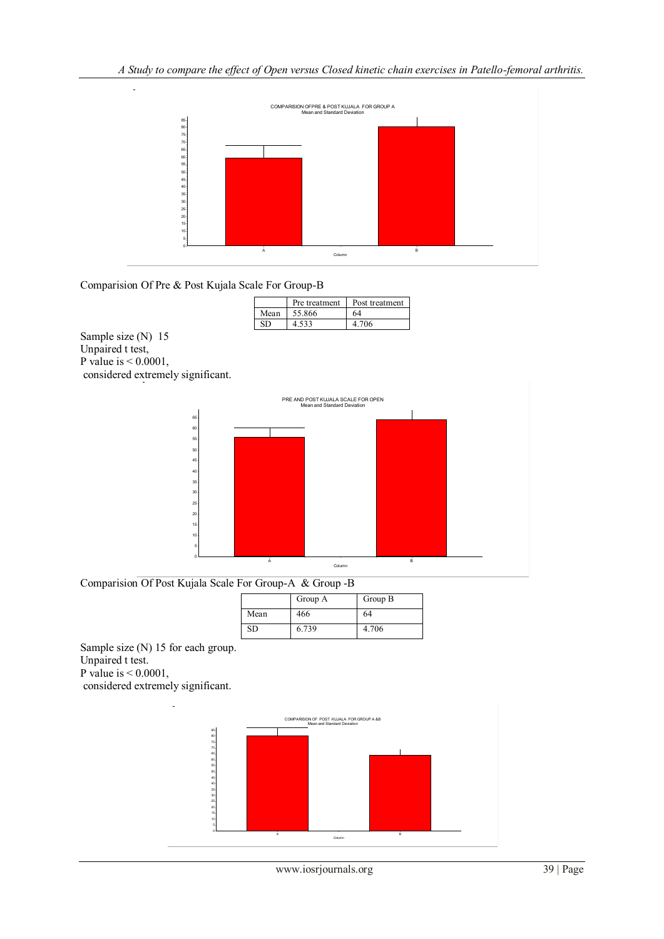

Comparision Of Pre & Post Kujala Scale For Group-B

|      | Pre treatment | Post treatment |
|------|---------------|----------------|
| Mean | 55.866        | 64             |
|      | . 533         |                |

Sample size (N) 15 Unpaired t test, P value is  $< 0.0001$ , considered extremely significant.



Comparision Of Post Kujala Scale For Group-A & Group -B

|      | Group A | Group B |
|------|---------|---------|
| Mean | 466     | 64      |
| SD   | 6.739   | 4.706   |

Sample size (N) 15 for each group. Unpaired t test.

P value is < 0.0001,

considered extremely significant.

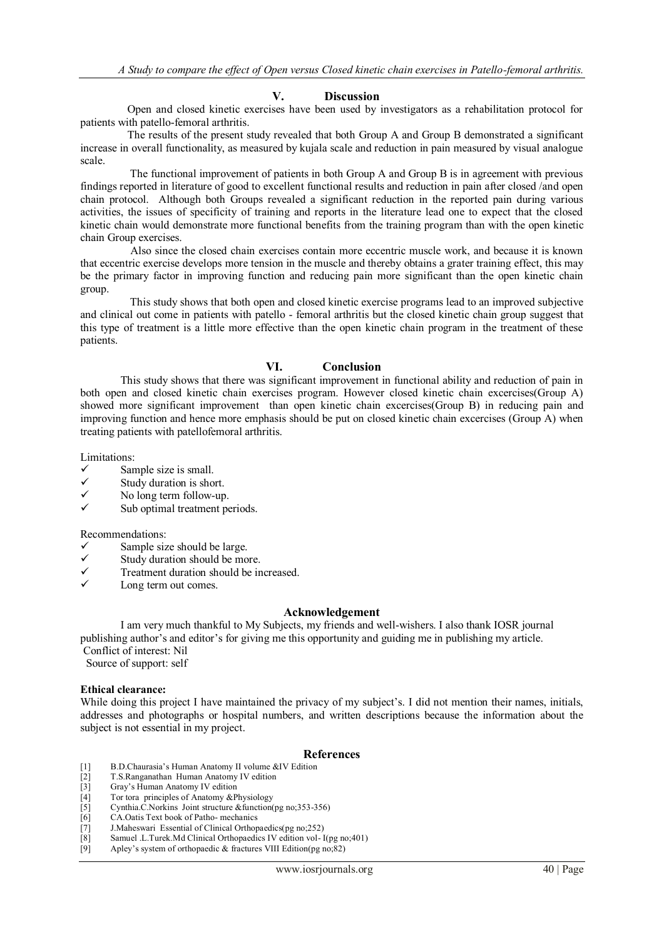## **V. Discussion**

 Open and closed kinetic exercises have been used by investigators as a rehabilitation protocol for patients with patello-femoral arthritis.

 The results of the present study revealed that both Group A and Group B demonstrated a significant increase in overall functionality, as measured by kujala scale and reduction in pain measured by visual analogue scale.

 The functional improvement of patients in both Group A and Group B is in agreement with previous findings reported in literature of good to excellent functional results and reduction in pain after closed /and open chain protocol. Although both Groups revealed a significant reduction in the reported pain during various activities, the issues of specificity of training and reports in the literature lead one to expect that the closed kinetic chain would demonstrate more functional benefits from the training program than with the open kinetic chain Group exercises.

 Also since the closed chain exercises contain more eccentric muscle work, and because it is known that eccentric exercise develops more tension in the muscle and thereby obtains a grater training effect, this may be the primary factor in improving function and reducing pain more significant than the open kinetic chain group.

 This study shows that both open and closed kinetic exercise programs lead to an improved subjective and clinical out come in patients with patello - femoral arthritis but the closed kinetic chain group suggest that this type of treatment is a little more effective than the open kinetic chain program in the treatment of these patients.

## **VI. Conclusion**

This study shows that there was significant improvement in functional ability and reduction of pain in both open and closed kinetic chain exercises program. However closed kinetic chain excercises(Group A) showed more significant improvement than open kinetic chain excercises(Group B) in reducing pain and improving function and hence more emphasis should be put on closed kinetic chain excercises (Group A) when treating patients with patellofemoral arthritis.

Limitations:

- $\checkmark$  Sample size is small.
- $\checkmark$  Study duration is short.<br>
No long term follow-un
- $\checkmark$  No long term follow-up.
- Sub optimal treatment periods.

#### Recommendations:

- $\checkmark$  Sample size should be large.
- $\checkmark$  Study duration should be more.<br> $\checkmark$  Treatment duration should be in
- Treatment duration should be increased.
- Long term out comes.

#### **Acknowledgement**

 I am very much thankful to My Subjects, my friends and well-wishers. I also thank IOSR journal publishing author's and editor's for giving me this opportunity and guiding me in publishing my article. Conflict of interest: Nil

Source of support: self

#### **Ethical clearance:**

While doing this project I have maintained the privacy of my subject's. I did not mention their names, initials, addresses and photographs or hospital numbers, and written descriptions because the information about the subject is not essential in my project.

## **References**

- [1] B.D.Chaurasia's Human Anatomy II volume &IV Edition
- [2] T.S.Ranganathan Human Anatomy IV edition
- [3] Gray's Human Anatomy IV edition
- [4] Tor tora principles of Anatomy &Physiology<br>
[5] Cynthia.C.Norkins Joint structure &function
- [5] Cynthia.C.Norkins Joint structure &function(pg no;353-356)<br>[6] CA.Oatis Text book of Patho-mechanics [6] CA.Oatis Text book of Patho- mechanics
- 
- [7] J.Maheswari Essential of Clinical Orthopaedics(pg no; 252)<br>[8] Samuel .L.Turek.Md Clinical Orthopaedics IV edition vol-1
- [8] Samuel .L.Turek.Md Clinical Orthopaedics IV edition vol- $I(pg no;401)$ <br>[9] Apley's system of orthopaedic & fractures VIII Edition(pg no;82) Apley's system of orthopaedic  $\&$  fractures VIII Edition(pg no;82)